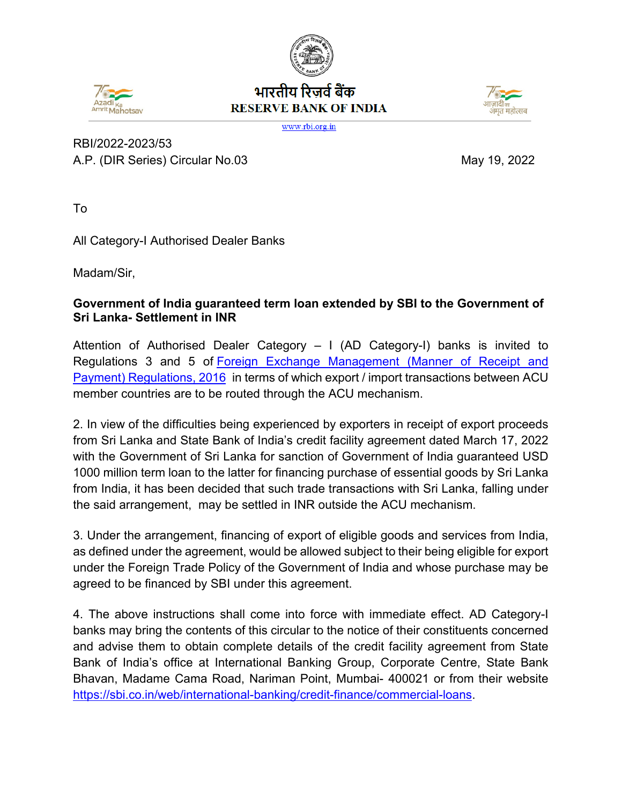## भारतीय रिजर्व बैंक **RESERVE BANK OF INDIA**





www.rbi.org.in

RBI/2022-2023/53 A.P. (DIR Series) Circular No.03 May 19, 2022

To

All Category-I Authorised Dealer Banks

Madam/Sir,

## **Government of India guaranteed term loan extended by SBI to the Government of Sri Lanka- Settlement in INR**

Attention of Authorised Dealer Category – I (AD Category-I) banks is invited to Regulations 3 and 5 of [Foreign Exchange Management \(Manner of Receipt and](https://rbi.org.in/Scripts/NotificationUser.aspx?Id=10392&Mode=0)  [Payment\) Regulations, 2016](https://rbi.org.in/Scripts/NotificationUser.aspx?Id=10392&Mode=0) in terms of which export / import transactions between ACU member countries are to be routed through the ACU mechanism.

2. In view of the difficulties being experienced by exporters in receipt of export proceeds from Sri Lanka and State Bank of India's credit facility agreement dated March 17, 2022 with the Government of Sri Lanka for sanction of Government of India guaranteed USD 1000 million term loan to the latter for financing purchase of essential goods by Sri Lanka from India, it has been decided that such trade transactions with Sri Lanka, falling under the said arrangement, may be settled in INR outside the ACU mechanism.

3. Under the arrangement, financing of export of eligible goods and services from India, as defined under the agreement, would be allowed subject to their being eligible for export under the Foreign Trade Policy of the Government of India and whose purchase may be agreed to be financed by SBI under this agreement.

4. The above instructions shall come into force with immediate effect. AD Category-I banks may bring the contents of this circular to the notice of their constituents concerned and advise them to obtain complete details of the credit facility agreement from State Bank of India's office at International Banking Group, Corporate Centre, State Bank Bhavan, Madame Cama Road, Nariman Point, Mumbai- 400021 or from their website [https://sbi.co.in/web/international-banking/credit-finance/commercial-loans.](https://sbi.co.in/web/international-banking/credit-finance/commercial-loans)